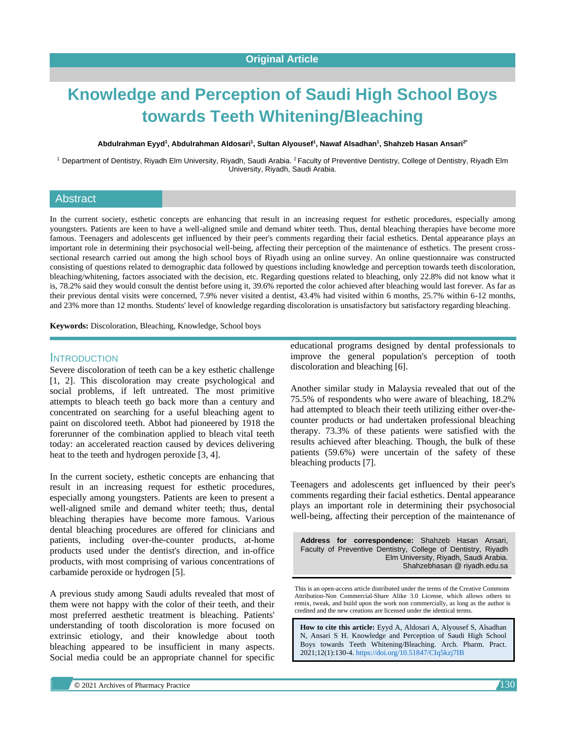# **Knowledge and Perception of Saudi High School Boys towards Teeth Whitening/Bleaching**

#### **Abdulrahman Eyyd<sup>1</sup> , Abdulrahman Aldosari<sup>1</sup> , Sultan Alyousef<sup>1</sup> , Nawaf Alsadhan<sup>1</sup> , Shahzeb Hasan Ansari2\***

<sup>1</sup> Department of Dentistry, Riyadh Elm University, Riyadh, Saudi Arabia. <sup>2</sup> Faculty of Preventive Dentistry, College of Dentistry, Riyadh Elm University, Riyadh, Saudi Arabia.

## Abstract

In the current society, esthetic concepts are enhancing that result in an increasing request for esthetic procedures, especially among youngsters. Patients are keen to have a well-aligned smile and demand whiter teeth. Thus, dental bleaching therapies have become more famous. Teenagers and adolescents get influenced by their peer's comments regarding their facial esthetics. Dental appearance plays an important role in determining their psychosocial well-being, affecting their perception of the maintenance of esthetics. The present crosssectional research carried out among the high school boys of Riyadh using an online survey. An online questionnaire was constructed consisting of questions related to demographic data followed by questions including knowledge and perception towards teeth discoloration, bleaching/whitening, factors associated with the decision, etc. Regarding questions related to bleaching, only 22.8% did not know what it is, 78.2% said they would consult the dentist before using it, 39.6% reported the color achieved after bleaching would last forever. As far as their previous dental visits were concerned, 7.9% never visited a dentist, 43.4% had visited within 6 months, 25.7% within 6-12 months, and 23% more than 12 months. Students' level of knowledge regarding discoloration is unsatisfactory but satisfactory regarding bleaching.

**Keywords:** Discoloration, Bleaching, Knowledge, School boys

## INTRODUCTION

Severe discoloration of teeth can be a key esthetic challenge [1, 2]. This discoloration may create psychological and social problems, if left untreated. The most primitive attempts to bleach teeth go back more than a century and concentrated on searching for a useful bleaching agent to paint on discolored teeth. Abbot had pioneered by 1918 the forerunner of the combination applied to bleach vital teeth today: an accelerated reaction caused by devices delivering heat to the teeth and hydrogen peroxide [3, 4].

In the current society, esthetic concepts are enhancing that result in an increasing request for esthetic procedures, especially among youngsters. Patients are keen to present a well-aligned smile and demand whiter teeth; thus, dental bleaching therapies have become more famous. Various dental bleaching procedures are offered for clinicians and patients, including over-the-counter products, at-home products used under the dentist's direction, and in-office products, with most comprising of various concentrations of carbamide peroxide or hydrogen [5].

A previous study among Saudi adults revealed that most of them were not happy with the color of their teeth, and their most preferred aesthetic treatment is bleaching. Patients' understanding of tooth discoloration is more focused on extrinsic etiology, and their knowledge about tooth bleaching appeared to be insufficient in many aspects. Social media could be an appropriate channel for specific

educational programs designed by dental professionals to improve the general population's perception of tooth discoloration and bleaching [6].

Another similar study in Malaysia revealed that out of the 75.5% of respondents who were aware of bleaching, 18.2% had attempted to bleach their teeth utilizing either over-thecounter products or had undertaken professional bleaching therapy. 73.3% of these patients were satisfied with the results achieved after bleaching. Though, the bulk of these patients (59.6%) were uncertain of the safety of these bleaching products [7].

Teenagers and adolescents get influenced by their peer's comments regarding their facial esthetics. Dental appearance plays an important role in determining their psychosocial well-being, affecting their perception of the maintenance of

**Address for correspondence:** Shahzeb Hasan Ansari, Faculty of Preventive Dentistry, College of Dentistry, Riyadh Elm University, Riyadh, Saudi Arabia. Shahzebhasan @ riyadh.edu.sa

This is an open-access article distributed under the terms of the Creative Commons Attribution-Non Commercial-Share Alike 3.0 License, which allows others to remix, tweak, and build upon the work non commercially, as long as the author is credited and the new creations are licensed under the identical terms.

**How to cite this article:** Eyyd A, Aldosari A, Alyousef S, Alsadhan N, Ansari S H. Knowledge and Perception of Saudi High School Boys towards Teeth Whitening/Bleaching. Arch. Pharm. Pract. 2021;12(1):130-4. <https://doi.org/10.51847/CIq5kzj7IB>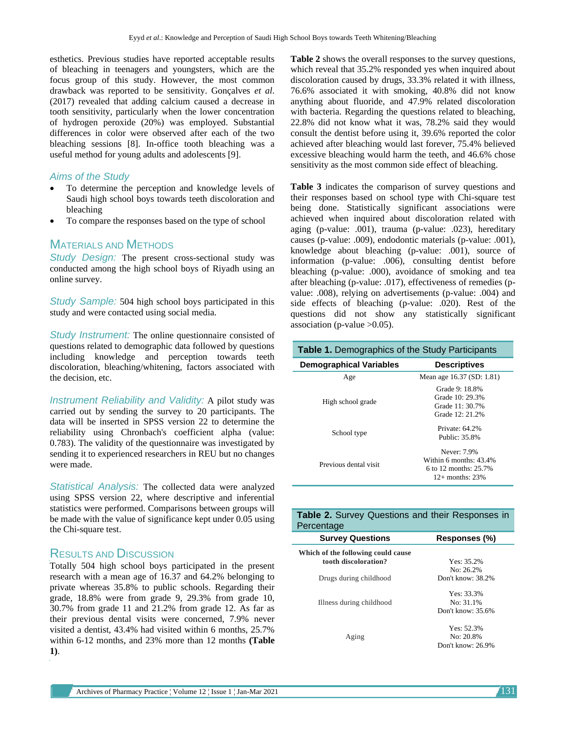esthetics. Previous studies have reported acceptable results of bleaching in teenagers and youngsters, which are the focus group of this study. However, the most common drawback was reported to be sensitivity. Gonçalves *et al*. (2017) revealed that adding calcium caused a decrease in tooth sensitivity, particularly when the lower concentration of hydrogen peroxide (20%) was employed. Substantial differences in color were observed after each of the two bleaching sessions [8]. In-office tooth bleaching was a useful method for young adults and adolescents [9].

# *Aims of the Study*

- To determine the perception and knowledge levels of Saudi high school boys towards teeth discoloration and bleaching
- To compare the responses based on the type of school

# MATERIALS AND METHODS

*Study Design:* The present cross-sectional study was conducted among the high school boys of Riyadh using an online survey.

*Study Sample:* 504 high school boys participated in this study and were contacted using social media.

*Study Instrument:* The online questionnaire consisted of questions related to demographic data followed by questions including knowledge and perception towards teeth discoloration, bleaching/whitening, factors associated with the decision, etc.

*Instrument Reliability and Validity:* A pilot study was carried out by sending the survey to 20 participants. The data will be inserted in SPSS version 22 to determine the reliability using Chronbach's coefficient alpha (value: 0.783). The validity of the questionnaire was investigated by sending it to experienced researchers in REU but no changes were made.

*Statistical Analysis:* The collected data were analyzed using SPSS version 22, where descriptive and inferential statistics were performed. Comparisons between groups will be made with the value of significance kept under 0.05 using the Chi-square test.

# RESULTS AND DISCUSSION

Totally 504 high school boys participated in the present research with a mean age of 16.37 and 64.2% belonging to private whereas 35.8% to public schools. Regarding their grade, 18.8% were from grade 9, 29.3% from grade 10, 30.7% from grade 11 and 21.2% from grade 12. As far as their previous dental visits were concerned, 7.9% never visited a dentist, 43.4% had visited within 6 months, 25.7% within 6-12 months, and 23% more than 12 months **(Table 1)**.

**Table 2** shows the overall responses to the survey questions, which reveal that 35.2% responded yes when inquired about discoloration caused by drugs, 33.3% related it with illness, 76.6% associated it with smoking, 40.8% did not know anything about fluoride, and 47.9% related discoloration with bacteria. Regarding the questions related to bleaching, 22.8% did not know what it was, 78.2% said they would consult the dentist before using it, 39.6% reported the color achieved after bleaching would last forever, 75.4% believed excessive bleaching would harm the teeth, and 46.6% chose sensitivity as the most common side effect of bleaching.

**Table 3** indicates the comparison of survey questions and their responses based on school type with Chi-square test being done. Statistically significant associations were achieved when inquired about discoloration related with aging (p-value: .001), trauma (p-value: .023), hereditary causes (p-value: .009), endodontic materials (p-value: .001), knowledge about bleaching (p-value: .001), source of information (p-value: .006), consulting dentist before bleaching (p-value: .000), avoidance of smoking and tea after bleaching (p-value: .017), effectiveness of remedies (pvalue: .008), relying on advertisements (p-value: .004) and side effects of bleaching (p-value: .020). Rest of the questions did not show any statistically significant association (p-value  $>0.05$ ).

| <b>Table 1.</b> Demographics of the Study Participants |                                                                                        |  |
|--------------------------------------------------------|----------------------------------------------------------------------------------------|--|
| <b>Demographical Variables</b>                         | <b>Descriptives</b>                                                                    |  |
| Age                                                    | Mean age 16.37 (SD: 1.81)                                                              |  |
| High school grade                                      | Grade 9: 18.8%<br>Grade 10: 29.3%<br>Grade 11: 30.7%<br>Grade 12: 21.2%                |  |
| School type                                            | Private: $64.2\%$<br>Public: 35.8%                                                     |  |
| Previous dental visit                                  | Never: 7.9%<br>Within 6 months: 43.4%<br>6 to 12 months: $25.7\%$<br>$12+$ months: 23% |  |

| <b>Table 2.</b> Survey Questions and their Responses in |  |  |
|---------------------------------------------------------|--|--|
| Percentage                                              |  |  |

| <b>Survey Questions</b>            | Responses (%)     |  |  |
|------------------------------------|-------------------|--|--|
| Which of the following could cause |                   |  |  |
| tooth discoloration?               | Yes: $35.2\%$     |  |  |
|                                    | No: $26.2\%$      |  |  |
| Drugs during childhood             | Don't know: 38.2% |  |  |
|                                    | Yes: 33.3%        |  |  |
| Illness during childhood           | No: $31.1\%$      |  |  |
|                                    | Don't know: 35.6% |  |  |
|                                    | Yes: $52.3%$      |  |  |
| Aging                              | $No: 20.8\%$      |  |  |
|                                    | Don't know: 26.9% |  |  |
|                                    |                   |  |  |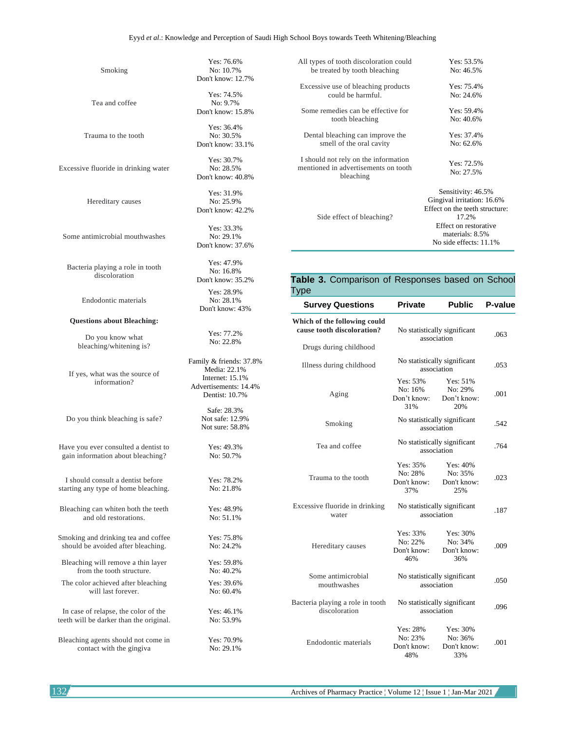#### Eyyd *et al*.: Knowledge and Perception of Saudi High School Boys towards Teeth Whitening/Bleaching

Smoking

Tea and coffee

Trauma to the tooth

Excessive fluoride in drinking water

Hereditary causes

Some antimicrobial mouthwashes

Bacteria playing a role in tooth discoloration

Endodontic materials

#### **Questions about Bleaching:**

Do you know what bleaching/whitening is?

If yes, what was the source of information?

Do you think bleaching is safe?

Have you ever consulted a dentist to gain information about bleaching?

I should consult a dentist before starting any type of home bleaching.

Bleaching can whiten both the teeth and old restorations.

Smoking and drinking tea and coffee should be avoided after bleaching.

Bleaching will remove a thin layer from the tooth structure.

The color achieved after bleaching will last forever.

In case of relapse, the color of the teeth will be darker than the original.

Bleaching agents should not come in contact with the gingiva

Yes: 76.6% No: 10.7% Don't know: 12.7%

Yes: 74.5% No: 9.7% Don't know: 15.8%

Yes: 36.4% No: 30.5% Don't know: 33.1%

Yes: 30.7% No: 28.5% Don't know: 40.8%

Yes: 31.9% No: 25.9% Don't know: 42.2%

Yes: 33.3% No: 29.1% Don't know: 37.6%

Yes: 47.9% No: 16.8% Don't know: 35.2% Yes: 28.9% No: 28.1% Don't know: 43%

> Yes: 77.2% No: 22.8%

Family & friends: 37.8% Media: 22.1% Internet: 15.1% Advertisements: 14.4% Dentist: 10.7% Safe: 28.3%

> Not safe: 12.9% Not sure: 58.8%

> > Yes: 49.3% No: 50.7%

Yes: 78.2% No: 21.8% Yes: 48.9% No: 51.1%

No: 24.2% Yes: 59.8% No: 40.2%

Yes: 75.8%

Yes: 39.6% No: 60.4%

Yes: 46.1% No: 53.9% Yes: 70.9%

No: 29.1%

| All types of tooth discoloration could            | Yes: $53.5%$                   |
|---------------------------------------------------|--------------------------------|
| be treated by tooth bleaching                     | No: 46.5%                      |
| Excessive use of bleaching products               | Yes: $75.4%$                   |
| could be harmful.                                 | No: 24.6%                      |
| Some remedies can be effective for                | Yes: $59.4%$                   |
| tooth bleaching                                   | No: 40.6%                      |
| Dental bleaching can improve the                  | Yes: $37.4%$                   |
| smell of the oral cavity                          | No: 62.6%                      |
| I should not rely on the information              | Yes: $72.5%$                   |
| mentioned in advertisements on tooth<br>bleaching | No: 27.5%                      |
|                                                   | Sensitivity: 46.5%             |
|                                                   | Gingival irritation: 16.6%     |
|                                                   | Effect on the teeth structure: |
| Side effect of bleaching?                         | 17.2%                          |
|                                                   | Effect on restorative          |
|                                                   | materials: 8.5%                |
|                                                   | No side effects: 11.1%         |

## **Table 3.** Comparison of Responses based on School Type

| <b>Survey Questions</b>                                    | <b>Private</b>                              | <b>Public</b>                             | P-value |
|------------------------------------------------------------|---------------------------------------------|-------------------------------------------|---------|
| Which of the following could<br>cause tooth discoloration? | No statistically significant<br>association |                                           | .063    |
| Drugs during childhood                                     |                                             |                                           |         |
| Illness during childhood                                   | No statistically significant<br>association |                                           | .053    |
| Aging                                                      | Yes: 53%<br>No: 16%<br>Don't know:<br>31%   | Yes: 51%<br>No: 29%<br>Don't know:<br>20% | .001    |
| Smoking                                                    | No statistically significant<br>association |                                           | .542    |
| Tea and coffee                                             | No statistically significant<br>association |                                           | .764    |
| Trauma to the tooth                                        | Yes: 35%<br>No: 28%<br>Don't know:<br>37%   | Yes: 40%<br>No: 35%<br>Don't know:<br>25% | .023    |
| Excessive fluoride in drinking<br>water                    | No statistically significant<br>association |                                           | .187    |
| Hereditary causes                                          | Yes: 33%<br>No: 22%<br>Don't know:<br>46%   | Yes: 30%<br>No: 34%<br>Don't know:<br>36% | .009    |
| Some antimicrobial<br>mouthwashes                          | No statistically significant<br>association |                                           | .050    |
| Bacteria playing a role in tooth<br>discoloration          | No statistically significant<br>association |                                           | .096    |
| Endodontic materials                                       | Yes: 28%<br>No: 23%<br>Don't know:<br>48%   | Yes: 30%<br>No: 36%<br>Don't know:<br>33% | .001    |

132 Archives of Pharmacy Practice ¦ Volume 12 ¦ Issue 1 ¦ Jan-Mar 2021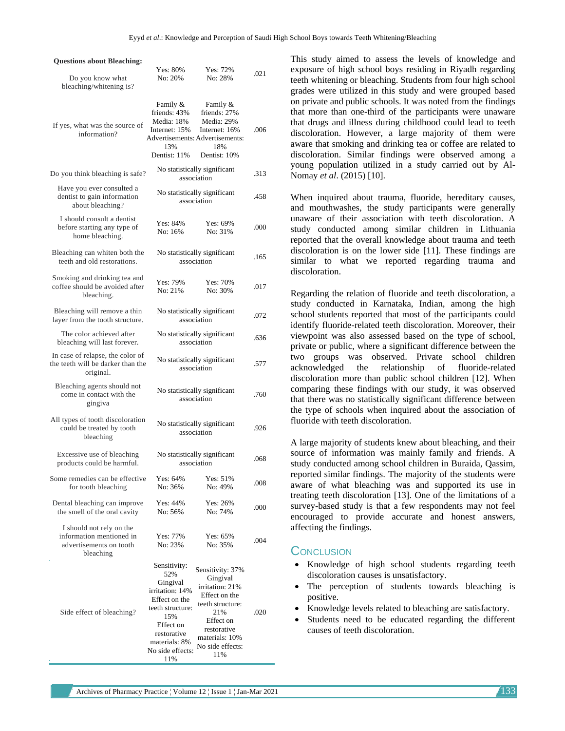| <b>Questions about Bleaching:</b>                                                            |                                                                                                                                                                 |                                                                                                                                                                      |      |
|----------------------------------------------------------------------------------------------|-----------------------------------------------------------------------------------------------------------------------------------------------------------------|----------------------------------------------------------------------------------------------------------------------------------------------------------------------|------|
| Do you know what<br>bleaching/whitening is?                                                  | Yes: 80%<br>No: 20%                                                                                                                                             | Yes: 72%<br>No: 28%                                                                                                                                                  | .021 |
| If yes, what was the source of<br>information?                                               | Family &<br>friends: 43%<br>Media: 18%<br>Internet: 15%<br>13%<br>Dentist: 11%                                                                                  | Family &<br>friends: 27%<br>Media: 29%<br>Internet: 16%<br><b>Advertisements: Advertisements:</b><br>18%<br>Dentist: 10%                                             | .006 |
| Do you think bleaching is safe?                                                              |                                                                                                                                                                 | No statistically significant<br>association                                                                                                                          | .313 |
| Have you ever consulted a<br>dentist to gain information<br>about bleaching?                 |                                                                                                                                                                 | No statistically significant<br>association                                                                                                                          | .458 |
| I should consult a dentist<br>before starting any type of<br>home bleaching.                 | Yes: 84%<br>No: 16%                                                                                                                                             | Yes: 69%<br>No: 31%                                                                                                                                                  | .000 |
| Bleaching can whiten both the<br>teeth and old restorations.                                 |                                                                                                                                                                 | No statistically significant<br>association                                                                                                                          | .165 |
| Smoking and drinking tea and<br>coffee should be avoided after<br>bleaching.                 | Yes: 79%<br>No: 21%                                                                                                                                             | Yes: 70%<br>No: 30%                                                                                                                                                  | .017 |
| Bleaching will remove a thin<br>layer from the tooth structure.                              |                                                                                                                                                                 | No statistically significant<br>association                                                                                                                          | .072 |
| The color achieved after<br>bleaching will last forever.                                     |                                                                                                                                                                 | No statistically significant<br>association                                                                                                                          | .636 |
| In case of relapse, the color of<br>the teeth will be darker than the<br>original.           |                                                                                                                                                                 | No statistically significant<br>association                                                                                                                          | .577 |
| Bleaching agents should not<br>come in contact with the<br>gingiva                           |                                                                                                                                                                 | No statistically significant<br>association                                                                                                                          | .760 |
| All types of tooth discoloration<br>could be treated by tooth<br>bleaching                   | No statistically significant<br>association                                                                                                                     |                                                                                                                                                                      | .926 |
| Excessive use of bleaching<br>products could be harmful.                                     |                                                                                                                                                                 | No statistically significant<br>association                                                                                                                          | .068 |
| Some remedies can be effective<br>for tooth bleaching                                        | Yes: 64%<br>No: 36%                                                                                                                                             | Yes: 51%<br>No: 49%                                                                                                                                                  | .008 |
| Dental bleaching can improve<br>the smell of the oral cavity                                 | Yes: 44%<br>No: 56%                                                                                                                                             | Yes: 26%<br>No: 74%                                                                                                                                                  | .000 |
| I should not rely on the<br>information mentioned in<br>advertisements on tooth<br>bleaching | Yes: 77%<br>No: 23%                                                                                                                                             | Yes: 65%<br>No: 35%                                                                                                                                                  | .004 |
| Side effect of bleaching?                                                                    | Sensitivity:<br>52%<br>Gingival<br>irritation: 14%<br>Effect on the<br>teeth structure:<br>15%<br>Effect on<br>restorative<br>materials: 8%<br>No side effects: | Sensitivity: 37%<br>Gingival<br>irritation: 21%<br>Effect on the<br>teeth structure:<br>21%<br>Effect on<br>restorative<br>materials: 10%<br>No side effects:<br>11% | .020 |

This study aimed to assess the levels of knowledge and exposure of high school boys residing in Riyadh regarding teeth whitening or bleaching. Students from four high school grades were utilized in this study and were grouped based on private and public schools. It was noted from the findings that more than one-third of the participants were unaware that drugs and illness during childhood could lead to teeth discoloration. However, a large majority of them were aware that smoking and drinking tea or coffee are related to discoloration. Similar findings were observed among a young population utilized in a study carried out by Al-Nomay *et al*. (2015) [10].

When inquired about trauma, fluoride, hereditary causes, and mouthwashes, the study participants were generally unaware of their association with teeth discoloration. A study conducted among similar children in Lithuania reported that the overall knowledge about trauma and teeth discoloration is on the lower side [11]. These findings are similar to what we reported regarding trauma and discoloration.

Regarding the relation of fluoride and teeth discoloration, a study conducted in Karnataka, Indian, among the high school students reported that most of the participants could identify fluoride-related teeth discoloration. Moreover, their viewpoint was also assessed based on the type of school, private or public, where a significant difference between the two groups was observed. Private school children acknowledged the relationship of fluoride-related discoloration more than public school children [12]. When comparing these findings with our study, it was observed that there was no statistically significant difference between the type of schools when inquired about the association of fluoride with teeth discoloration.

A large majority of students knew about bleaching, and their source of information was mainly family and friends. A study conducted among school children in Buraida, Qassim, reported similar findings. The majority of the students were aware of what bleaching was and supported its use in treating teeth discoloration [13]. One of the limitations of a survey-based study is that a few respondents may not feel encouraged to provide accurate and honest answers, affecting the findings.

## **CONCLUSION**

- Knowledge of high school students regarding teeth discoloration causes is unsatisfactory.
- The perception of students towards bleaching is positive.
- Knowledge levels related to bleaching are satisfactory.
- Students need to be educated regarding the different causes of teeth discoloration.

11%